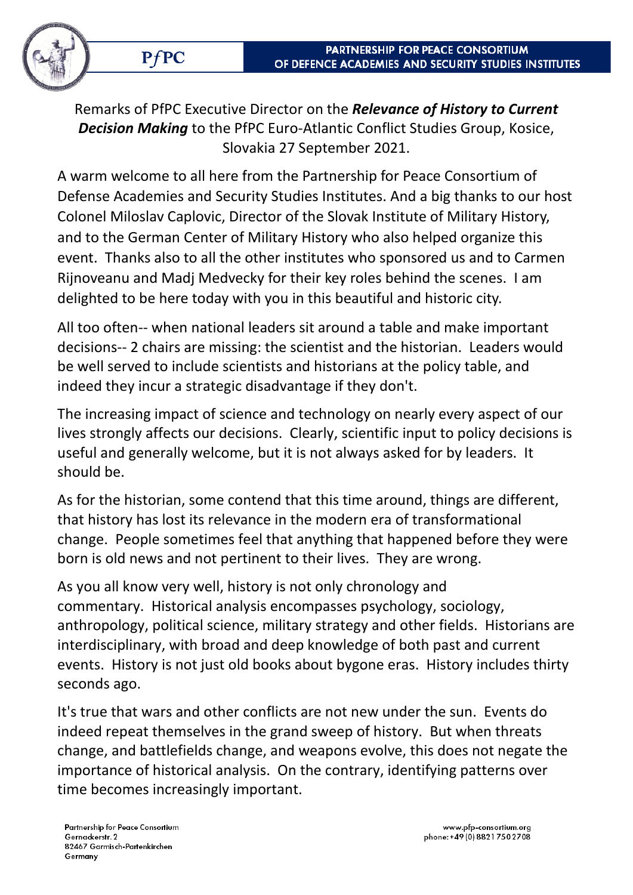

Remarks of PfPC Executive Director on the *Relevance of History to Current Decision Making* to the PfPC Euro-Atlantic Conflict Studies Group, Kosice, Slovakia 27 September 2021.

A warm welcome to all here from the Partnership for Peace Consortium of Defense Academies and Security Studies Institutes. And a big thanks to our host Colonel Miloslav Caplovic, Director of the Slovak Institute of Military History, and to the German Center of Military History who also helped organize this event. Thanks also to all the other institutes who sponsored us and to Carmen Rijnoveanu and Madj Medvecky for their key roles behind the scenes. I am delighted to be here today with you in this beautiful and historic city.

All too often-- when national leaders sit around a table and make important decisions-- 2 chairs are missing: the scientist and the historian. Leaders would be well served to include scientists and historians at the policy table, and indeed they incur a strategic disadvantage if they don't.

The increasing impact of science and technology on nearly every aspect of our lives strongly affects our decisions. Clearly, scientific input to policy decisions is useful and generally welcome, but it is not always asked for by leaders. It should be.

As for the historian, some contend that this time around, things are different, that history has lost its relevance in the modern era of transformational change. People sometimes feel that anything that happened before they were born is old news and not pertinent to their lives. They are wrong.

As you all know very well, history is not only chronology and commentary. Historical analysis encompasses psychology, sociology, anthropology, political science, military strategy and other fields. Historians are interdisciplinary, with broad and deep knowledge of both past and current events. History is not just old books about bygone eras. History includes thirty seconds ago.

It's true that wars and other conflicts are not new under the sun. Events do indeed repeat themselves in the grand sweep of history. But when threats change, and battlefields change, and weapons evolve, this does not negate the importance of historical analysis. On the contrary, identifying patterns over time becomes increasingly important.